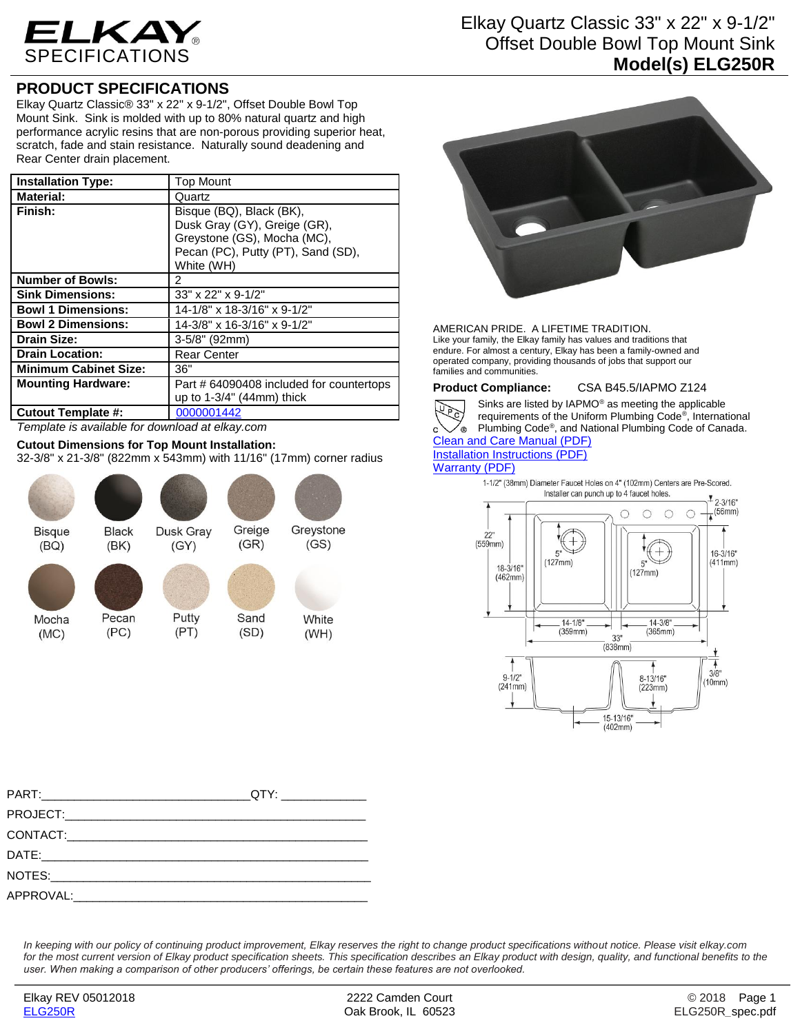

## **PRODUCT SPECIFICATIONS**

Elkay Quartz Classic® 33" x 22" x 9-1/2", Offset Double Bowl Top Mount Sink. Sink is molded with up to 80% natural quartz and high performance acrylic resins that are non-porous providing superior heat, scratch, fade and stain resistance. Naturally sound deadening and Rear Center drain placement.

| <b>Installation Type:</b>    | Top Mount                                                                                                                                   |
|------------------------------|---------------------------------------------------------------------------------------------------------------------------------------------|
| <b>Material:</b>             | Quartz                                                                                                                                      |
| Finish:                      | Bisque (BQ), Black (BK),<br>Dusk Gray (GY), Greige (GR),<br>Greystone (GS), Mocha (MC),<br>Pecan (PC), Putty (PT), Sand (SD),<br>White (WH) |
| <b>Number of Bowls:</b>      | 2                                                                                                                                           |
| <b>Sink Dimensions:</b>      | 33" x 22" x 9-1/2"                                                                                                                          |
| <b>Bowl 1 Dimensions:</b>    | 14-1/8" x 18-3/16" x 9-1/2"                                                                                                                 |
| <b>Bowl 2 Dimensions:</b>    | 14-3/8" x 16-3/16" x 9-1/2"                                                                                                                 |
| <b>Drain Size:</b>           | 3-5/8" (92mm)                                                                                                                               |
| <b>Drain Location:</b>       | <b>Rear Center</b>                                                                                                                          |
| <b>Minimum Cabinet Size:</b> | 36"                                                                                                                                         |
| <b>Mounting Hardware:</b>    | Part # 64090408 included for countertops<br>up to $1-3/4$ " (44mm) thick                                                                    |
| <b>Cutout Template #:</b>    | 0000001442                                                                                                                                  |

# *Template is available for download at elkay.com*

**Cutout Dimensions for Top Mount Installation:**

32-3/8" x 21-3/8" (822mm x 543mm) with 11/16" (17mm) corner radius



## Elkay Quartz Classic 33" x 22" x 9-1/2" Offset Double Bowl Top Mount Sink **Model(s) ELG250R**



AMERICAN PRIDE. A LIFETIME TRADITION. Like your family, the Elkay family has values and traditions that endure. For almost a century, Elkay has been a family-owned and operated company, providing thousands of jobs that support our families and communities.

**Product Compliance:** CSA B45.5/IAPMO Z124



Sinks are listed by IAPMO® as meeting the applicable requirements of the Uniform Plumbing Code® , International Plumbing Code® , and National Plumbing Code of Canada. [Clean and Care Manual \(PDF\)](http://www.elkay.com/wcsstore/lkdocs/care-cleaning-install-warranty-sheets/residential%20and%20commercial%20care%20%20cleaning.pdf)

### [Installation Instructions \(PDF\)](http://www.elkay.com/wcsstore/lkdocs/care-cleaning-install-warranty-sheets/0000000217.pdf) [Warranty](http://www.elkay.com/wcsstore/lkdocs/care-cleaning-install-warranty-sheets/quartz%20sinks%20warranty.pdf) (PDF)

1-1/2" (38mm) Diameter Faucet Holes on 4" (102mm) Centers are Pre-Scored. Installer can punch up to 4 faucet holes.



*In keeping with our policy of continuing product improvement, Elkay reserves the right to change product specifications without notice. Please visit elkay.com*  for the most current version of Elkay product specification sheets. This specification describes an Elkay product with design, quality, and functional benefits to the *user. When making a comparison of other producers' offerings, be certain these features are not overlooked.*